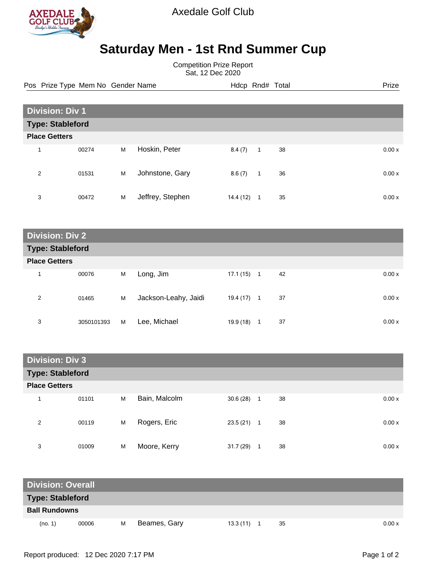

Axedale Golf Club

## **Saturday Men - 1st Rnd Summer Cup**

Competition Prize Report Sat, 12 Dec 2020

Pos Prize Type Mem No Gender Name **Hdcp Rnd# Total** Prize Prize

| <b>Division: Div 1</b>  |       |   |                  |           |              |    |        |
|-------------------------|-------|---|------------------|-----------|--------------|----|--------|
| <b>Type: Stableford</b> |       |   |                  |           |              |    |        |
| <b>Place Getters</b>    |       |   |                  |           |              |    |        |
| $\overline{\mathbf{A}}$ | 00274 | M | Hoskin, Peter    | 8.4(7)    | $\mathbf{1}$ | 38 | 0.00x  |
| 2                       | 01531 | M | Johnstone, Gary  | 8.6(7)    | $\mathbf{1}$ | 36 | 0.00x  |
| 3                       | 00472 | M | Jeffrey, Stephen | 14.4 (12) | 1            | 35 | 0.00 x |

**Division: Div 2 Type: Stableford Place Getters** 1 00076 M Long, Jim 17.1 (15) 1 42 0.00 x 2 01465 M Jackson-Leahy, Jaidi 19.4 (17) 1 37 0.00 x 3 3050101393 M Lee, Michael 19.9 (18) 1 37 37 0.00 x

| <b>Division: Div 3</b>  |       |   |               |              |                    |       |
|-------------------------|-------|---|---------------|--------------|--------------------|-------|
| <b>Type: Stableford</b> |       |   |               |              |                    |       |
| <b>Place Getters</b>    |       |   |               |              |                    |       |
| 4                       | 01101 | M | Bain, Malcolm | $30.6(28)$ 1 | 38                 | 0.00x |
| 2                       | 00119 | M | Rogers, Eric  | 23.5(21)     | 38<br>$\mathbf{1}$ | 0.00x |
| 3                       | 01009 | M | Moore, Kerry  | 31.7(29)     | 38<br>1            | 0.00x |

| <b>Division: Overall</b> |       |   |              |  |          |    |  |       |
|--------------------------|-------|---|--------------|--|----------|----|--|-------|
| <b>Type: Stableford</b>  |       |   |              |  |          |    |  |       |
| <b>Ball Rundowns</b>     |       |   |              |  |          |    |  |       |
| (no. 1)                  | 00006 | м | Beames, Gary |  | 13.3(11) | 35 |  | 0.00x |